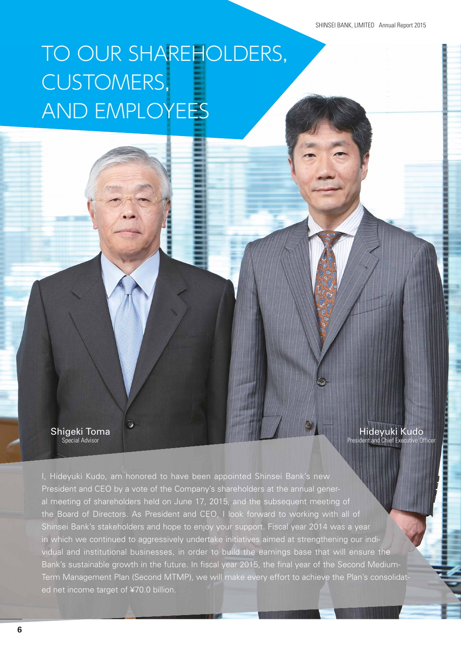# TO OUR SHAREHOLDERS, CUSTOMERS, AND EMPLOYEES

Shigeki Toma Special Advisor

Hideyuki Kudo President and Chief Executive Officer

I, Hideyuki Kudo, am honored to have been appointed Shinsei Bank's new President and CEO by a vote of the Company's shareholders at the annual general meeting of shareholders held on June 17, 2015, and the subsequent meeting of the Board of Directors. As President and CEO, I look forward to working with all of Shinsei Bank's stakeholders and hope to enjoy your support. Fiscal year 2014 was a year in which we continued to aggressively undertake initiatives aimed at strengthening our individual and institutional businesses, in order to build the earnings base that will ensure the Bank's sustainable growth in the future. In fiscal year 2015, the final year of the Second Medium-Term Management Plan (Second MTMP), we will make every effort to achieve the Plan's consolidated net income target of ¥70.0 billion.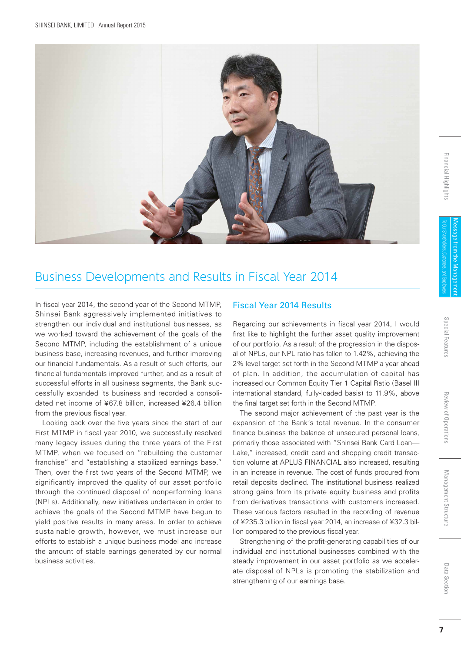

### Business Developments and Results in Fiscal Year 2014

In fiscal year 2014, the second year of the Second MTMP, Shinsei Bank aggressively implemented initiatives to strengthen our individual and institutional businesses, as we worked toward the achievement of the goals of the Second MTMP, including the establishment of a unique business base, increasing revenues, and further improving our financial fundamentals. As a result of such efforts, our financial fundamentals improved further, and as a result of successful efforts in all business segments, the Bank successfully expanded its business and recorded a consolidated net income of ¥67.8 billion, increased ¥26.4 billion from the previous fiscal year.

Looking back over the five years since the start of our First MTMP in fiscal year 2010, we successfully resolved many legacy issues during the three years of the First MTMP, when we focused on "rebuilding the customer franchise" and "establishing a stabilized earnings base." Then, over the first two years of the Second MTMP, we significantly improved the quality of our asset portfolio through the continued disposal of nonperforming loans (NPLs). Additionally, new initiatives undertaken in order to achieve the goals of the Second MTMP have begun to yield positive results in many areas. In order to achieve sustainable growth, however, we must increase our efforts to establish a unique business model and increase the amount of stable earnings generated by our normal business activities.

#### Fiscal Year 2014 Results

Regarding our achievements in fiscal year 2014, I would first like to highlight the further asset quality improvement of our portfolio. As a result of the progression in the disposal of NPLs, our NPL ratio has fallen to 1.42%, achieving the 2% level target set forth in the Second MTMP a year ahead of plan. In addition, the accumulation of capital has increased our Common Equity Tier 1 Capital Ratio (Basel III international standard, fully-loaded basis) to 11.9%, above the final target set forth in the Second MTMP.

The second major achievement of the past year is the expansion of the Bank's total revenue. In the consumer finance business the balance of unsecured personal loans, primarily those associated with "Shinsei Bank Card Loan— Lake," increased, credit card and shopping credit transaction volume at APLUS FINANCIAL also increased, resulting in an increase in revenue. The cost of funds procured from retail deposits declined. The institutional business realized strong gains from its private equity business and profits from derivatives transactions with customers increased. These various factors resulted in the recording of revenue of ¥235.3 billion in fiscal year 2014, an increase of ¥32.3 billion compared to the previous fiscal year.

Strengthening of the profit-generating capabilities of our individual and institutional businesses combined with the steady improvement in our asset portfolio as we accelerate disposal of NPLs is promoting the stabilization and strengthening of our earnings base.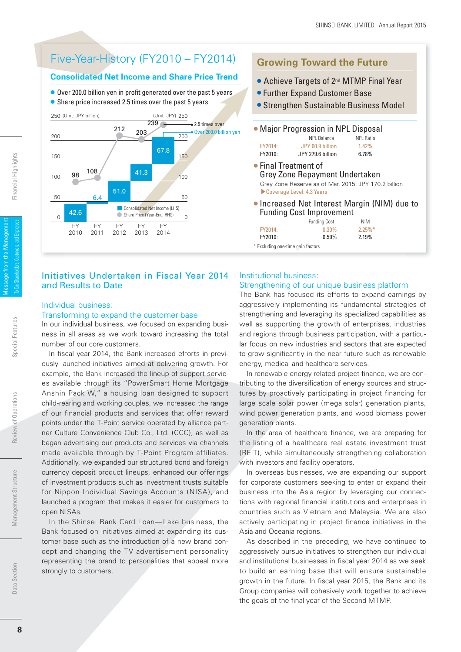### Five-Year-History (FY2010 – FY2014)

#### **Consolidated Net Income and Share Price Trend**

- Over 200.0 billion yen in profit generated over the past 5 years
- Share price increased 2.5 times over the past 5 years



#### Initiatives Undertaken in Fiscal Year 2014 and Results to Date

#### Individual business:

#### Transforming to expand the customer base

In our individual business, we focused on expanding business in all areas as we work toward increasing the total number of our core customers.

In fiscal year 2014, the Bank increased efforts in previously launched initiatives aimed at delivering growth. For example, the Bank increased the lineup of support services available through its "PowerSmart Home Mortgage Anshin Pack W," a housing loan designed to support child-rearing and working couples, we increased the range of our financial products and services that offer reward points under the T-Point service operated by alliance partner Culture Convenience Club Co., Ltd. (CCC), as well as began advertising our products and services via channels made available through by T-Point Program affiliates. Additionally, we expanded our structured bond and foreign currency deposit product lineups, enhanced our offerings of investment products such as investment trusts suitable for Nippon Individual Savings Accounts (NISA), and launched a program that makes it easier for customers to open NISAs.

In the Shinsei Bank Card Loan—Lake business, the Bank focused on initiatives aimed at expanding its customer base such as the introduction of a new brand concept and changing the TV advertisement personality representing the brand to personalities that appeal more strongly to customers.

### **Growing Toward the Future** ● Achieve Targets of 2<sup>nd</sup> MTMP Final Year ● Further Expand Customer Base

- Strengthen Sustainable Business Model
- Major Progression in NPL Disposal NPL Balance NPL Ratio FY2014: JPY 60.9 billion 1.42% FY2010: JPY 279.6 billion 6.78%
- Final Treatment of Grey Zone Repayment Undertaken Grey Zone Reserve as of Mar. 2015: JPY 170.2 billion ▶Coverage Level: 4.3 Years
- Increased Net Interest Margin (NIM) due to Funding Cost Improvement

|                                   | <b>Funding Cost</b> | <b>NIM</b> |
|-----------------------------------|---------------------|------------|
| FY2014:                           | $0.30\%$            | $2.25\%$ * |
| FY2010:                           | 0.59%               | 2.19%      |
| * Evoluding and time gain factors |                     |            |

\* Excluding one-time gain factors

#### Institutional business: Strengthening of our unique business platform

The Bank has focused its efforts to expand earnings by aggressively implementing its fundamental strategies of strengthening and leveraging its specialized capabilities as well as supporting the growth of enterprises, industries and regions through business participation, with a particular focus on new industries and sectors that are expected to grow significantly in the near future such as renewable energy, medical and healthcare services.

In renewable energy related project finance, we are contributing to the diversification of energy sources and structures by proactively participating in project financing for large scale solar power (mega solar) generation plants, wind power generation plants, and wood biomass power generation plants.

In the area of healthcare finance, we are preparing for the listing of a healthcare real estate investment trust (REIT), while simultaneously strengthening collaboration with investors and facility operators.

In overseas businesses, we are expanding our support for corporate customers seeking to enter or expand their business into the Asia region by leveraging our connections with regional financial institutions and enterprises in countries such as Vietnam and Malaysia. We are also actively participating in project finance initiatives in the Asia and Oceania regions.

As described in the preceding, we have continued to aggressively pursue initiatives to strengthen our individual and institutional businesses in fiscal year 2014 as we seek to build an earning base that will ensure sustainable growth in the future. In fiscal year 2015, the Bank and its Group companies will cohesively work together to achieve the goals of the final year of the Second MTMP.

Data Section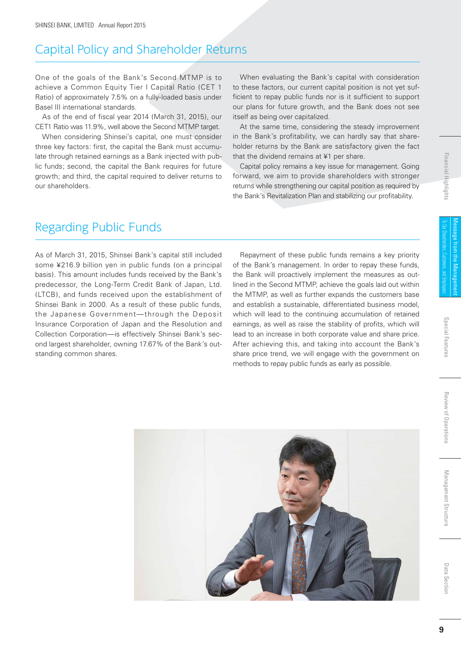### Capital Policy and Shareholder Returns

One of the goals of the Bank's Second MTMP is to achieve a Common Equity Tier I Capital Ratio (CET 1 Ratio) of approximately 7.5% on a fully-loaded basis under Basel III international standards.

As of the end of fiscal year 2014 (March 31, 2015), our CET1 Ratio was 11.9%, well above the Second MTMP target.

When considering Shinsei's capital, one must consider three key factors: first, the capital the Bank must accumulate through retained earnings as a Bank injected with public funds; second, the capital the Bank requires for future growth; and third, the capital required to deliver returns to our shareholders.

When evaluating the Bank's capital with consideration to these factors, our current capital position is not yet sufficient to repay public funds nor is it sufficient to support our plans for future growth, and the Bank does not see itself as being over capitalized.

At the same time, considering the steady improvement in the Bank's profitability, we can hardly say that shareholder returns by the Bank are satisfactory given the fact that the dividend remains at ¥1 per share.

Capital policy remains a key issue for management. Going forward, we aim to provide shareholders with stronger returns while strengthening our capital position as required by the Bank's Revitalization Plan and stabilizing our profitability.

## Regarding Public Funds

As of March 31, 2015, Shinsei Bank's capital still included some ¥216.9 billion yen in public funds (on a principal basis). This amount includes funds received by the Bank's predecessor, the Long-Term Credit Bank of Japan, Ltd. (LTCB), and funds received upon the establishment of Shinsei Bank in 2000. As a result of these public funds, the Japanese Government—through the Deposit Insurance Corporation of Japan and the Resolution and Collection Corporation—is effectively Shinsei Bank's second largest shareholder, owning 17.67% of the Bank's outstanding common shares.

Repayment of these public funds remains a key priority of the Bank's management. In order to repay these funds, the Bank will proactively implement the measures as outlined in the Second MTMP, achieve the goals laid out within the MTMP, as well as further expands the customers base and establish a sustainable, differentiated business model, which will lead to the continuing accumulation of retained earnings, as well as raise the stability of profits, which will lead to an increase in both corporate value and share price. After achieving this, and taking into account the Bank's share price trend, we will engage with the government on methods to repay public funds as early as possible.